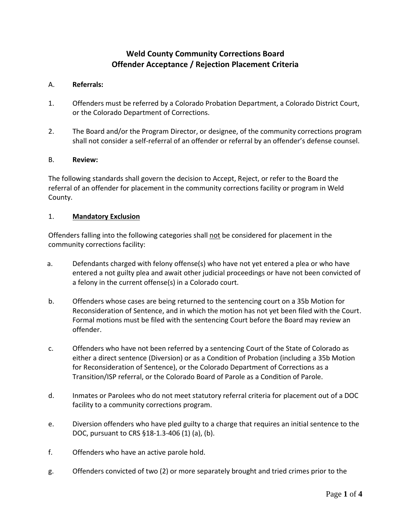# **Weld County Community Corrections Board Offender Acceptance / Rejection Placement Criteria**

#### A. **Referrals:**

- 1. Offenders must be referred by a Colorado Probation Department, a Colorado District Court, or the Colorado Department of Corrections.
- 2. The Board and/or the Program Director, or designee, of the community corrections program shall not consider a self-referral of an offender or referral by an offender's defense counsel.

#### B. **Review:**

The following standards shall govern the decision to Accept, Reject, or refer to the Board the referral of an offender for placement in the community corrections facility or program in Weld County.

#### 1. **Mandatory Exclusion**

Offenders falling into the following categories shall not be considered for placement in the community corrections facility:

- a. Defendants charged with felony offense(s) who have not yet entered a plea or who have entered a not guilty plea and await other judicial proceedings or have not been convicted of a felony in the current offense(s) in a Colorado court.
- b. Offenders whose cases are being returned to the sentencing court on a 35b Motion for Reconsideration of Sentence, and in which the motion has not yet been filed with the Court. Formal motions must be filed with the sentencing Court before the Board may review an offender.
- c. Offenders who have not been referred by a sentencing Court of the State of Colorado as either a direct sentence (Diversion) or as a Condition of Probation (including a 35b Motion for Reconsideration of Sentence), or the Colorado Department of Corrections as a Transition/ISP referral, or the Colorado Board of Parole as a Condition of Parole.
- d. Inmates or Parolees who do not meet statutory referral criteria for placement out of a DOC facility to a community corrections program.
- e. Diversion offenders who have pled guilty to a charge that requires an initial sentence to the DOC, pursuant to CRS §18-1.3-406 (1) (a), (b).
- f. Offenders who have an active parole hold.
- g. Offenders convicted of two (2) or more separately brought and tried crimes prior to the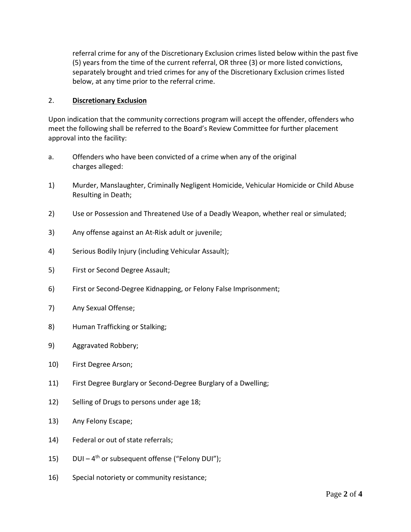referral crime for any of the Discretionary Exclusion crimes listed below within the past five (5) years from the time of the current referral, OR three (3) or more listed convictions, separately brought and tried crimes for any of the Discretionary Exclusion crimes listed below, at any time prior to the referral crime.

#### 2. **Discretionary Exclusion**

Upon indication that the community corrections program will accept the offender, offenders who meet the following shall be referred to the Board's Review Committee for further placement approval into the facility:

- a. Offenders who have been convicted of a crime when any of the original charges alleged:
- 1) Murder, Manslaughter, Criminally Negligent Homicide, Vehicular Homicide or Child Abuse Resulting in Death;
- 2) Use or Possession and Threatened Use of a Deadly Weapon, whether real or simulated;
- 3) Any offense against an At-Risk adult or juvenile;
- 4) Serious Bodily Injury (including Vehicular Assault);
- 5) First or Second Degree Assault;
- 6) First or Second-Degree Kidnapping, or Felony False Imprisonment;
- 7) Any Sexual Offense;
- 8) Human Trafficking or Stalking;
- 9) Aggravated Robbery;
- 10) First Degree Arson;
- 11) First Degree Burglary or Second-Degree Burglary of a Dwelling;
- 12) Selling of Drugs to persons under age 18;
- 13) Any Felony Escape;
- 14) Federal or out of state referrals;
- 15) DUI 4<sup>th</sup> or subsequent offense ("Felony DUI");
- 16) Special notoriety or community resistance;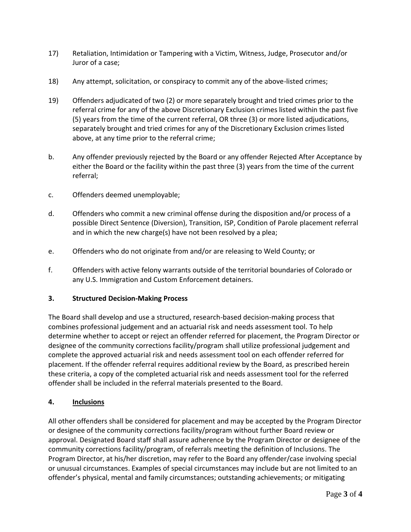- 17) Retaliation, Intimidation or Tampering with a Victim, Witness, Judge, Prosecutor and/or Juror of a case;
- 18) Any attempt, solicitation, or conspiracy to commit any of the above-listed crimes;
- 19) Offenders adjudicated of two (2) or more separately brought and tried crimes prior to the referral crime for any of the above Discretionary Exclusion crimes listed within the past five (5) years from the time of the current referral, OR three (3) or more listed adjudications, separately brought and tried crimes for any of the Discretionary Exclusion crimes listed above, at any time prior to the referral crime;
- b. Any offender previously rejected by the Board or any offender Rejected After Acceptance by either the Board or the facility within the past three (3) years from the time of the current referral;
- c. Offenders deemed unemployable;
- d. Offenders who commit a new criminal offense during the disposition and/or process of a possible Direct Sentence (Diversion), Transition, ISP, Condition of Parole placement referral and in which the new charge(s) have not been resolved by a plea;
- e. Offenders who do not originate from and/or are releasing to Weld County; or
- f. Offenders with active felony warrants outside of the territorial boundaries of Colorado or any U.S. Immigration and Custom Enforcement detainers.

## **3. Structured Decision-Making Process**

The Board shall develop and use a structured, research-based decision-making process that combines professional judgement and an actuarial risk and needs assessment tool. To help determine whether to accept or reject an offender referred for placement, the Program Director or designee of the community corrections facility/program shall utilize professional judgement and complete the approved actuarial risk and needs assessment tool on each offender referred for placement. If the offender referral requires additional review by the Board, as prescribed herein these criteria, a copy of the completed actuarial risk and needs assessment tool for the referred offender shall be included in the referral materials presented to the Board.

## **4. Inclusions**

All other offenders shall be considered for placement and may be accepted by the Program Director or designee of the community corrections facility/program without further Board review or approval. Designated Board staff shall assure adherence by the Program Director or designee of the community corrections facility/program, of referrals meeting the definition of Inclusions. The Program Director, at his/her discretion, may refer to the Board any offender/case involving special or unusual circumstances. Examples of special circumstances may include but are not limited to an offender's physical, mental and family circumstances; outstanding achievements; or mitigating